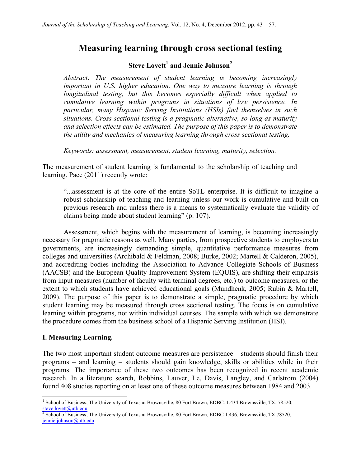# **Measuring learning through cross sectional testing**

## **Steve Lovett<sup>1</sup> and Jennie Johnson<sup>2</sup>**

*Abstract: The measurement of student learning is becoming increasingly important in U.S. higher education. One way to measure learning is through longitudinal testing, but this becomes especially difficult when applied to cumulative learning within programs in situations of low persistence. In particular, many Hispanic Serving Institutions (HSIs) find themselves in such situations. Cross sectional testing is a pragmatic alternative, so long as maturity and selection effects can be estimated. The purpose of this paper is to demonstrate the utility and mechanics of measuring learning through cross sectional testing.*

*Keywords: assessment, measurement, student learning, maturity, selection.*

The measurement of student learning is fundamental to the scholarship of teaching and learning. Pace (2011) recently wrote:

"...assessment is at the core of the entire SoTL enterprise. It is difficult to imagine a robust scholarship of teaching and learning unless our work is cumulative and built on previous research and unless there is a means to systematically evaluate the validity of claims being made about student learning" (p. 107).

Assessment, which begins with the measurement of learning, is becoming increasingly necessary for pragmatic reasons as well. Many parties, from prospective students to employers to governments, are increasingly demanding simple, quantitative performance measures from colleges and universities (Archibald & Feldman, 2008; Burke, 2002; Martell & Calderon, 2005), and accrediting bodies including the Association to Advance Collegiate Schools of Business (AACSB) and the European Quality Improvement System (EQUIS), are shifting their emphasis from input measures (number of faculty with terminal degrees, etc.) to outcome measures, or the extent to which students have achieved educational goals (Mundhenk, 2005; Rubin & Martell, 2009). The purpose of this paper is to demonstrate a simple, pragmatic procedure by which student learning may be measured through cross sectional testing. The focus is on cumulative learning within programs, not within individual courses. The sample with which we demonstrate the procedure comes from the business school of a Hispanic Serving Institution (HSI).

### **I. Measuring Learning.**

 

The two most important student outcome measures are persistence – students should finish their programs – and learning – students should gain knowledge, skills or abilities while in their programs. The importance of these two outcomes has been recognized in recent academic research. In a literature search, Robbins, Lauver, Le, Davis, Langley, and Carlstrom (2004) found 408 studies reporting on at least one of these outcome measures between 1984 and 2003.

<sup>&</sup>lt;sup>1</sup> School of Business, The University of Texas at Brownsville, 80 Fort Brown, EDBC. 1.434 Brownsville, TX, 78520, steve.lovett@utb.edu

School of Business, The University of Texas at Brownsville, 80 Fort Brown, EDBC 1.436, Brownsville, TX,78520, jennie.johnson@utb.edu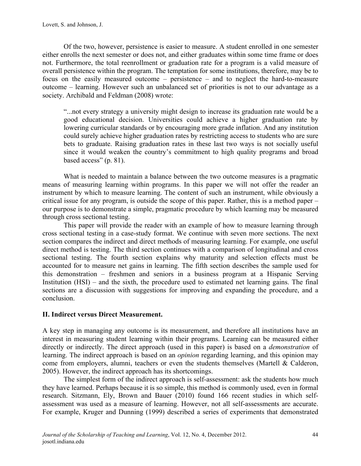Of the two, however, persistence is easier to measure. A student enrolled in one semester either enrolls the next semester or does not, and either graduates within some time frame or does not. Furthermore, the total reenrollment or graduation rate for a program is a valid measure of overall persistence within the program. The temptation for some institutions, therefore, may be to focus on the easily measured outcome – persistence – and to neglect the hard-to-measure outcome – learning. However such an unbalanced set of priorities is not to our advantage as a society. Archibald and Feldman (2008) wrote:

"...not every strategy a university might design to increase its graduation rate would be a good educational decision. Universities could achieve a higher graduation rate by lowering curricular standards or by encouraging more grade inflation. And any institution could surely achieve higher graduation rates by restricting access to students who are sure bets to graduate. Raising graduation rates in these last two ways is not socially useful since it would weaken the country's commitment to high quality programs and broad based access" (p. 81).

What is needed to maintain a balance between the two outcome measures is a pragmatic means of measuring learning within programs. In this paper we will not offer the reader an instrument by which to measure learning. The content of such an instrument, while obviously a critical issue for any program, is outside the scope of this paper. Rather, this is a method paper – our purpose is to demonstrate a simple, pragmatic procedure by which learning may be measured through cross sectional testing.

This paper will provide the reader with an example of how to measure learning through cross sectional testing in a case-study format. We continue with seven more sections. The next section compares the indirect and direct methods of measuring learning. For example, one useful direct method is testing. The third section continues with a comparison of longitudinal and cross sectional testing. The fourth section explains why maturity and selection effects must be accounted for to measure net gains in learning. The fifth section describes the sample used for this demonstration – freshmen and seniors in a business program at a Hispanic Serving Institution (HSI) – and the sixth, the procedure used to estimated net learning gains. The final sections are a discussion with suggestions for improving and expanding the procedure, and a conclusion.

## **II. Indirect versus Direct Measurement.**

A key step in managing any outcome is its measurement, and therefore all institutions have an interest in measuring student learning within their programs. Learning can be measured either directly or indirectly. The direct approach (used in this paper) is based on a *demonstration* of learning. The indirect approach is based on an *opinion* regarding learning, and this opinion may come from employers, alumni, teachers or even the students themselves (Martell & Calderon, 2005). However, the indirect approach has its shortcomings.

The simplest form of the indirect approach is self-assessment: ask the students how much they have learned. Perhaps because it is so simple, this method is commonly used, even in formal research. Sitzmann, Ely, Brown and Bauer (2010) found 166 recent studies in which selfassessment was used as a measure of learning. However, not all self-assessments are accurate. For example, Kruger and Dunning (1999) described a series of experiments that demonstrated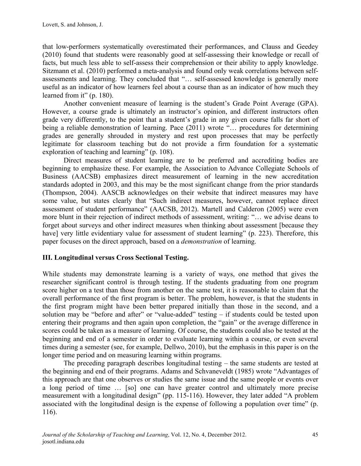that low-performers systematically overestimated their performances, and Clauss and Geedey (2010) found that students were reasonably good at self-assessing their knowledge or recall of facts, but much less able to self-assess their comprehension or their ability to apply knowledge. Sitzmann et al. (2010) performed a meta-analysis and found only weak correlations between selfassessments and learning. They concluded that "… self-assessed knowledge is generally more useful as an indicator of how learners feel about a course than as an indicator of how much they learned from it" (p. 180).

Another convenient measure of learning is the student's Grade Point Average (GPA). However, a course grade is ultimately an instructor's opinion, and different instructors often grade very differently, to the point that a student's grade in any given course falls far short of being a reliable demonstration of learning. Pace (2011) wrote "... procedures for determining grades are generally shrouded in mystery and rest upon processes that may be perfectly legitimate for classroom teaching but do not provide a firm foundation for a systematic exploration of teaching and learning" (p. 108).

Direct measures of student learning are to be preferred and accrediting bodies are beginning to emphasize these. For example, the Association to Advance Collegiate Schools of Business (AACSB) emphasizes direct measurement of learning in the new accreditation standards adopted in 2003, and this may be the most significant change from the prior standards (Thompson, 2004). AASCB acknowledges on their website that indirect measures may have some value, but states clearly that "Such indirect measures, however, cannot replace direct assessment of student performance" (AACSB, 2012). Martell and Calderon (2005) were even more blunt in their rejection of indirect methods of assessment, writing: "… we advise deans to forget about surveys and other indirect measures when thinking about assessment [because they have] very little evidentiary value for assessment of student learning" (p. 223). Therefore, this paper focuses on the direct approach, based on a *demonstration* of learning.

## **III. Longitudinal versus Cross Sectional Testing.**

While students may demonstrate learning is a variety of ways, one method that gives the researcher significant control is through testing. If the students graduating from one program score higher on a test than those from another on the same test, it is reasonable to claim that the overall performance of the first program is better. The problem, however, is that the students in the first program might have been better prepared initially than those in the second, and a solution may be "before and after" or "value-added" testing – if students could be tested upon entering their programs and then again upon completion, the "gain" or the average difference in scores could be taken as a measure of learning. Of course, the students could also be tested at the beginning and end of a semester in order to evaluate learning within a course, or even several times during a semester (see, for example, Dellwo, 2010), but the emphasis in this paper is on the longer time period and on measuring learning within programs.

The preceding paragraph describes longitudinal testing – the same students are tested at the beginning and end of their programs. Adams and Schvaneveldt (1985) wrote "Advantages of this approach are that one observes or studies the same issue and the same people or events over a long period of time … [so] one can have greater control and ultimately more precise measurement with a longitudinal design" (pp. 115-116). However, they later added "A problem associated with the longitudinal design is the expense of following a population over time" (p. 116).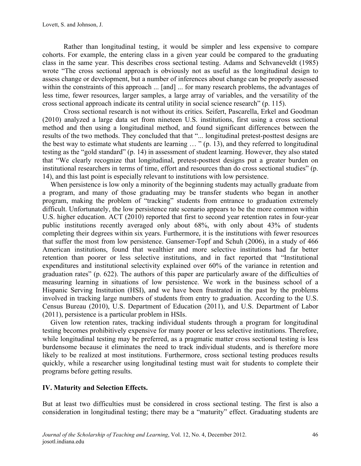Rather than longitudinal testing, it would be simpler and less expensive to compare cohorts. For example, the entering class in a given year could be compared to the graduating class in the same year. This describes cross sectional testing. Adams and Schvaneveldt (1985) wrote "The cross sectional approach is obviously not as useful as the longitudinal design to assess change or development, but a number of inferences about change can be properly assessed within the constraints of this approach ... [and] ... for many research problems, the advantages of less time, fewer resources, larger samples, a large array of variables, and the versatility of the cross sectional approach indicate its central utility in social science research" (p. 115).

Cross sectional research is not without its critics. Seifert, Pascarella, Erkel and Goodman (2010) analyzed a large data set from nineteen U.S. institutions, first using a cross sectional method and then using a longitudinal method, and found significant differences between the results of the two methods. They concluded that that "... longitudinal pretest-posttest designs are the best way to estimate what students are learning … " (p. 13), and they referred to longitudinal testing as the "gold standard" (p. 14) in assessment of student learning. However, they also stated that "We clearly recognize that longitudinal, pretest-posttest designs put a greater burden on institutional researchers in terms of time, effort and resources than do cross sectional studies" (p. 14), and this last point is especially relevant to institutions with low persistence.

When persistence is low only a minority of the beginning students may actually graduate from a program, and many of those graduating may be transfer students who began in another program, making the problem of "tracking" students from entrance to graduation extremely difficult. Unfortunately, the low persistence rate scenario appears to be the more common within U.S. higher education. ACT (2010) reported that first to second year retention rates in four-year public institutions recently averaged only about 68%, with only about 43% of students completing their degrees within six years. Furthermore, it is the institutions with fewer resources that suffer the most from low persistence. Gansemer-Topf and Schuh (2006), in a study of 466 American institutions, found that wealthier and more selective institutions had far better retention than poorer or less selective institutions, and in fact reported that "Institutional expenditures and institutional selectivity explained over 60% of the variance in retention and graduation rates" (p. 622). The authors of this paper are particularly aware of the difficulties of measuring learning in situations of low persistence. We work in the business school of a Hispanic Serving Institution (HSI), and we have been frustrated in the past by the problems involved in tracking large numbers of students from entry to graduation. According to the U.S. Census Bureau (2010), U.S. Department of Education (2011), and U.S. Department of Labor (2011), persistence is a particular problem in HSIs.

Given low retention rates, tracking individual students through a program for longitudinal testing becomes prohibitively expensive for many poorer or less selective institutions. Therefore, while longitudinal testing may be preferred, as a pragmatic matter cross sectional testing is less burdensome because it eliminates the need to track individual students, and is therefore more likely to be realized at most institutions. Furthermore, cross sectional testing produces results quickly, while a researcher using longitudinal testing must wait for students to complete their programs before getting results.

## **IV. Maturity and Selection Effects.**

But at least two difficulties must be considered in cross sectional testing. The first is also a consideration in longitudinal testing; there may be a "maturity" effect. Graduating students are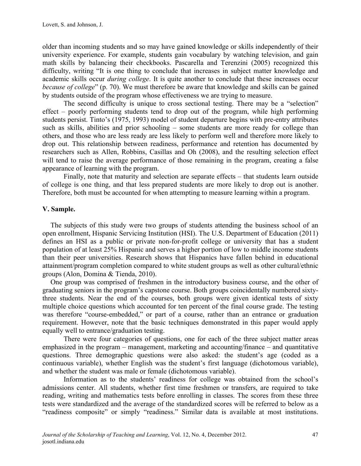older than incoming students and so may have gained knowledge or skills independently of their university experience. For example, students gain vocabulary by watching television, and gain math skills by balancing their checkbooks. Pascarella and Terenzini (2005) recognized this difficulty, writing "It is one thing to conclude that increases in subject matter knowledge and academic skills occur *during college*. It is quite another to conclude that these increases occur *because of college*" (p. 70). We must therefore be aware that knowledge and skills can be gained by students outside of the program whose effectiveness we are trying to measure.

The second difficulty is unique to cross sectional testing. There may be a "selection" effect – poorly performing students tend to drop out of the program, while high performing students persist. Tinto's (1975, 1993) model of student departure begins with pre-entry attributes such as skills, abilities and prior schooling – some students are more ready for college than others, and those who are less ready are less likely to perform well and therefore more likely to drop out. This relationship between readiness, performance and retention has documented by researchers such as Allen, Robbins, Casillas and Oh (2008), and the resulting selection effect will tend to raise the average performance of those remaining in the program, creating a false appearance of learning with the program.

Finally, note that maturity and selection are separate effects – that students learn outside of college is one thing, and that less prepared students are more likely to drop out is another. Therefore, both must be accounted for when attempting to measure learning within a program.

### **V. Sample.**

The subjects of this study were two groups of students attending the business school of an open enrollment, Hispanic Servicing Institution (HSI). The U.S. Department of Education (2011) defines an HSI as a public or private non-for-profit college or university that has a student population of at least 25% Hispanic and serves a higher portion of low to middle income students than their peer universities. Research shows that Hispanics have fallen behind in educational attainment/program completion compared to white student groups as well as other cultural/ethnic groups (Alon, Domina & Tienda, 2010).

One group was comprised of freshmen in the introductory business course, and the other of graduating seniors in the program's capstone course. Both groups coincidentally numbered sixtythree students. Near the end of the courses, both groups were given identical tests of sixty multiple choice questions which accounted for ten percent of the final course grade. The testing was therefore "course-embedded," or part of a course, rather than an entrance or graduation requirement. However, note that the basic techniques demonstrated in this paper would apply equally well to entrance/graduation testing.

There were four categories of questions, one for each of the three subject matter areas emphasized in the program – management, marketing and accounting/finance – and quantitative questions. Three demographic questions were also asked: the student's age (coded as a continuous variable), whether English was the student's first language (dichotomous variable), and whether the student was male or female (dichotomous variable).

Information as to the students' readiness for college was obtained from the school's admissions center. All students, whether first time freshmen or transfers, are required to take reading, writing and mathematics tests before enrolling in classes. The scores from these three tests were standardized and the average of the standardized scores will be referred to below as a "readiness composite" or simply "readiness." Similar data is available at most institutions.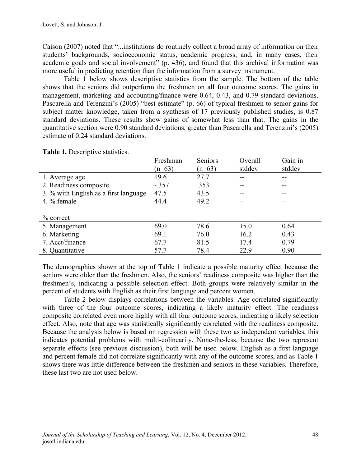Caison (2007) noted that "...institutions do routinely collect a broad array of information on their students' backgrounds, socioeconomic status, academic progress, and, in many cases, their academic goals and social involvement" (p. 436), and found that this archival information was more useful in predicting retention than the information from a survey instrument.

Table 1 below shows descriptive statistics from the sample. The bottom of the table shows that the seniors did outperform the freshmen on all four outcome scores. The gains in management, marketing and accounting/finance were 0.64, 0.43, and 0.79 standard deviations. Pascarella and Terenzini's (2005) "best estimate" (p. 66) of typical freshmen to senior gains for subject matter knowledge, taken from a synthesis of 17 previously published studies, is 0.87 standard deviations. These results show gains of somewhat less than that. The gains in the quantitative section were 0.90 standard deviations, greater than Pascarella and Terenzini's (2005) estimate of 0.24 standard deviations.

|                                       | Freshman | Seniors  | Overall | Gain in |
|---------------------------------------|----------|----------|---------|---------|
|                                       | $(n=63)$ | $(n=63)$ | stddev  | stddev  |
| 1. Average age                        | 19.6     | 27.7     |         |         |
| 2. Readiness composite                | $-.357$  | .353     |         |         |
| 3. % with English as a first language | 47.5     | 43.5     |         |         |
| 4. % female                           | 44.4     | 49.2     |         |         |
|                                       |          |          |         |         |
| $\%$ correct                          |          |          |         |         |
| 5. Management                         | 69.0     | 78.6     | 15.0    | 0.64    |
| 6. Marketing                          | 69.1     | 76.0     | 16.2    | 0.43    |
| 7. Acct/finance                       | 67.7     | 81.5     | 17.4    | 0.79    |
| 8. Quantitative                       | 57.7     | 78.4     | 22.9    | 0.90    |

**Table 1.** Descriptive statistics.

The demographics shown at the top of Table 1 indicate a possible maturity effect because the seniors were older than the freshmen. Also, the seniors' readiness composite was higher than the freshmen's, indicating a possible selection effect. Both groups were relatively similar in the percent of students with English as their first language and percent women.

Table 2 below displays correlations between the variables. Age correlated significantly with three of the four outcome scores, indicating a likely maturity effect. The readiness composite correlated even more highly with all four outcome scores, indicating a likely selection effect. Also, note that age was statistically significantly correlated with the readiness composite. Because the analysis below is based on regression with these two as independent variables, this indicates potential problems with multi-colinearity. None-the-less, because the two represent separate effects (see previous discussion), both will be used below. English as a first language and percent female did not correlate significantly with any of the outcome scores, and as Table 1 shows there was little difference between the freshmen and seniors in these variables. Therefore, these last two are not used below.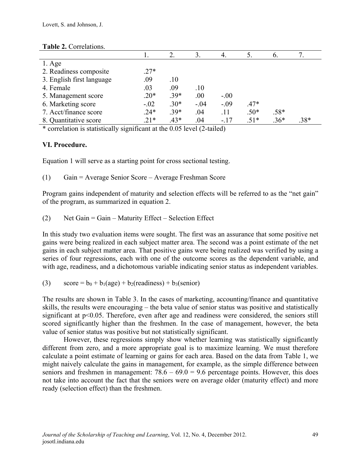| rupie ne confederation.   |        |        |        |        |        |                |        |  |
|---------------------------|--------|--------|--------|--------|--------|----------------|--------|--|
|                           |        |        | 3.     |        |        | $\mathbf{b}$ . |        |  |
| $1. \text{Age}$           |        |        |        |        |        |                |        |  |
| 2. Readiness composite    | $.27*$ |        |        |        |        |                |        |  |
| 3. English first language | .09    | .10    |        |        |        |                |        |  |
| 4. Female                 | .03    | .09    | .10    |        |        |                |        |  |
| 5. Management score       | $.20*$ | $.39*$ | .00    | $-.00$ |        |                |        |  |
| 6. Marketing score        | $-.02$ | $.30*$ | $-.04$ | $-.09$ | $.47*$ |                |        |  |
| 7. Acct/finance score     | $.24*$ | $.39*$ | .04    | .11    | $.50*$ | .58*           |        |  |
| 8. Quantitative score     | $.21*$ | $.43*$ | .04    | $-.17$ | $.51*$ | $.36*$         | $.38*$ |  |
|                           |        |        |        |        |        |                |        |  |

#### **Table 2.** Correlations.

\* correlation is statistically significant at the 0.05 level (2-tailed)

### **VI. Procedure.**

Equation 1 will serve as a starting point for cross sectional testing.

(1) Gain = Average Senior Score – Average Freshman Score

Program gains independent of maturity and selection effects will be referred to as the "net gain" of the program, as summarized in equation 2.

(2) Net Gain = Gain – Maturity Effect – Selection Effect

In this study two evaluation items were sought. The first was an assurance that some positive net gains were being realized in each subject matter area. The second was a point estimate of the net gains in each subject matter area. That positive gains were being realized was verified by using a series of four regressions, each with one of the outcome scores as the dependent variable, and with age, readiness, and a dichotomous variable indicating senior status as independent variables.

(3) score =  $b_0 + b_1(age) + b_2(readiness) + b_3(senior)$ 

The results are shown in Table 3. In the cases of marketing, accounting/finance and quantitative skills, the results were encouraging – the beta value of senior status was positive and statistically significant at p<0.05. Therefore, even after age and readiness were considered, the seniors still scored significantly higher than the freshmen. In the case of management, however, the beta value of senior status was positive but not statistically significant.

However, these regressions simply show whether learning was statistically significantly different from zero, and a more appropriate goal is to maximize learning. We must therefore calculate a point estimate of learning or gains for each area. Based on the data from Table 1, we might naively calculate the gains in management, for example, as the simple difference between seniors and freshmen in management:  $78.6 - 69.0 = 9.6$  percentage points. However, this does not take into account the fact that the seniors were on average older (maturity effect) and more ready (selection effect) than the freshmen.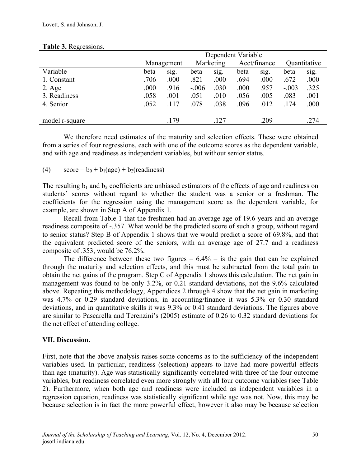|                 | Dependent Variable |            |         |           |      |              |         |              |
|-----------------|--------------------|------------|---------|-----------|------|--------------|---------|--------------|
|                 |                    | Management |         | Marketing |      | Acct/finance |         | Quantitative |
| Variable        | beta               | sig.       | beta    | sig.      | beta | sig.         | beta    | sig.         |
| 1. Constant     | .706               | .000       | .821    | .000      | .694 | .000         | .672    | .000         |
| $2. \text{Age}$ | .000               | .916       | $-.006$ | .030      | .000 | .957         | $-.003$ | .325         |
| 3. Readiness    | .058               | .001       | .051    | .010      | .056 | .005         | .083    | .001         |
| 4. Senior       | .052               | .117       | .078    | .038      | .096 | .012         | .174    | .000         |
|                 |                    |            |         |           |      |              |         |              |
| model r-square  |                    | .179       |         | .127      |      | .209         |         | .274         |

#### **Table 3.** Regressions.

We therefore need estimates of the maturity and selection effects. These were obtained from a series of four regressions, each with one of the outcome scores as the dependent variable, and with age and readiness as independent variables, but without senior status.

(4)  $\sec = b_0 + b_1(\text{age}) + b_2(\text{readiness})$ 

The resulting  $b_1$  and  $b_2$  coefficients are unbiased estimators of the effects of age and readiness on students' scores without regard to whether the student was a senior or a freshman. The coefficients for the regression using the management score as the dependent variable, for example, are shown in Step A of Appendix 1.

Recall from Table 1 that the freshmen had an average age of 19.6 years and an average readiness composite of -.357. What would be the predicted score of such a group, without regard to senior status? Step B of Appendix 1 shows that we would predict a score of 69.8%, and that the equivalent predicted score of the seniors, with an average age of 27.7 and a readiness composite of .353, would be 76.2%.

The difference between these two figures  $-6.4%$  – is the gain that can be explained through the maturity and selection effects, and this must be subtracted from the total gain to obtain the net gains of the program. Step C of Appendix 1 shows this calculation. The net gain in management was found to be only 3.2%, or 0.21 standard deviations, not the 9.6% calculated above. Repeating this methodology, Appendices 2 through 4 show that the net gain in marketing was 4.7% or 0.29 standard deviations, in accounting/finance it was 5.3% or 0.30 standard deviations, and in quantitative skills it was 9.3% or 0.41 standard deviations. The figures above are similar to Pascarella and Terenzini's (2005) estimate of 0.26 to 0.32 standard deviations for the net effect of attending college.

### **VII. Discussion.**

First, note that the above analysis raises some concerns as to the sufficiency of the independent variables used. In particular, readiness (selection) appears to have had more powerful effects than age (maturity). Age was statistically significantly correlated with three of the four outcome variables, but readiness correlated even more strongly with all four outcome variables (see Table 2). Furthermore, when both age and readiness were included as independent variables in a regression equation, readiness was statistically significant while age was not. Now, this may be because selection is in fact the more powerful effect, however it also may be because selection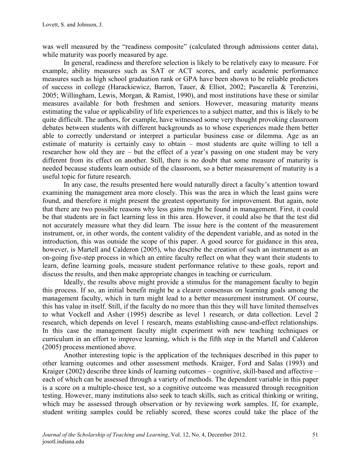was well measured by the "readiness composite" (calculated through admissions center data), while maturity was poorly measured by age.

In general, readiness and therefore selection is likely to be relatively easy to measure. For example, ability measures such as SAT or ACT scores, and early academic performance measures such as high school graduation rank or GPA have been shown to be reliable predictors of success in college (Harackiewicz, Barron, Tauer, & Elliot, 2002; Pascarella & Terenzini, 2005; Willingham, Lewis, Morgan, & Ramist, 1990), and most institutions have these or similar measures available for both freshmen and seniors. However, measuring maturity means estimating the value or applicability of life experiences to a subject matter, and this is likely to be quite difficult. The authors, for example, have witnessed some very thought provoking classroom debates between students with different backgrounds as to whose experiences made them better able to correctly understand or interpret a particular business case or dilemma. Age as an estimate of maturity is certainly easy to obtain – most students are quite willing to tell a researcher how old they are – but the effect of a year's passing on one student may be very different from its effect on another. Still, there is no doubt that some measure of maturity is needed because students learn outside of the classroom, so a better measurement of maturity is a useful topic for future research.

In any case, the results presented here would naturally direct a faculty's attention toward examining the management area more closely. This was the area in which the least gains were found, and therefore it might present the greatest opportunity for improvement. But again, note that there are two possible reasons why less gains might be found in management. First, it could be that students are in fact learning less in this area. However, it could also be that the test did not accurately measure what they did learn. The issue here is the content of the measurement instrument, or, in other words, the content validity of the dependent variable, and as noted in the introduction, this was outside the scope of this paper. A good source for guidance in this area, however, is Martell and Calderon (2005), who describe the creation of such an instrument as an on-going five-step process in which an entire faculty reflect on what they want their students to learn, define learning goals, measure student performance relative to these goals, report and discuss the results, and then make appropriate changes in teaching or curriculum.

Ideally, the results above might provide a stimulus for the management faculty to begin this process. If so, an initial benefit might be a clearer consensus on learning goals among the management faculty, which in turn might lead to a better measurement instrument. Of course, this has value in itself. Still, if the faculty do no more than this they will have limited themselves to what Vockell and Asher (1995) describe as level 1 research, or data collection. Level 2 research, which depends on level 1 research, means establishing cause-and-effect relationships. In this case the management faculty might experiment with new teaching techniques or curriculum in an effort to improve learning, which is the fifth step in the Martell and Calderon (2005) process mentioned above.

Another interesting topic is the application of the techniques described in this paper to other learning outcomes and other assessment methods. Kraiger, Ford and Salas (1993) and Kraiger (2002) describe three kinds of learning outcomes – cognitive, skill-based and affective – each of which can be assessed through a variety of methods. The dependent variable in this paper is a score on a multiple-choice test, so a cognitive outcome was measured through recognition testing. However, many institutions also seek to teach skills, such as critical thinking or writing, which may be assessed through observation or by reviewing work samples. If, for example, student writing samples could be reliably scored, these scores could take the place of the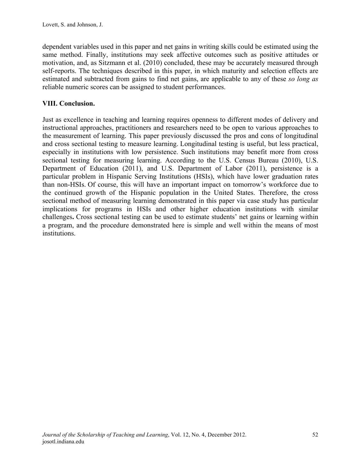dependent variables used in this paper and net gains in writing skills could be estimated using the same method. Finally, institutions may seek affective outcomes such as positive attitudes or motivation, and, as Sitzmann et al. (2010) concluded, these may be accurately measured through self-reports. The techniques described in this paper, in which maturity and selection effects are estimated and subtracted from gains to find net gains, are applicable to any of these *so long as* reliable numeric scores can be assigned to student performances.

## **VIII. Conclusion.**

Just as excellence in teaching and learning requires openness to different modes of delivery and instructional approaches, practitioners and researchers need to be open to various approaches to the measurement of learning. This paper previously discussed the pros and cons of longitudinal and cross sectional testing to measure learning. Longitudinal testing is useful, but less practical, especially in institutions with low persistence. Such institutions may benefit more from cross sectional testing for measuring learning. According to the U.S. Census Bureau (2010), U.S. Department of Education (2011), and U.S. Department of Labor (2011), persistence is a particular problem in Hispanic Serving Institutions (HSIs), which have lower graduation rates than non-HSIs. Of course, this will have an important impact on tomorrow's workforce due to the continued growth of the Hispanic population in the United States. Therefore, the cross sectional method of measuring learning demonstrated in this paper via case study has particular implications for programs in HSIs and other higher education institutions with similar challenges**.** Cross sectional testing can be used to estimate students' net gains or learning within a program, and the procedure demonstrated here is simple and well within the means of most institutions.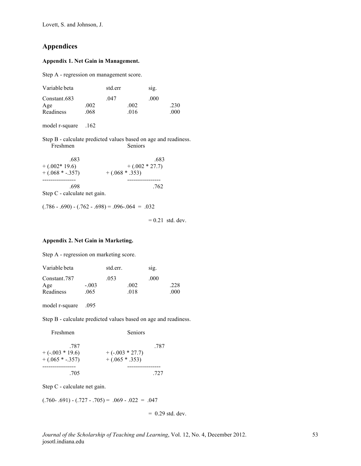Lovett, S. and Johnson, J.

### **Appendices**

#### **Appendix 1. Net Gain in Management.**

Step A - regression on management score.

| Variable beta |      | std.err |      | sig. |      |
|---------------|------|---------|------|------|------|
| Constant.683  |      | 047     |      | .000 |      |
| Age           | .002 |         | .002 |      | .230 |
| Readiness     | .068 |         | .016 |      | .000 |

model r-square .162

Step B - calculate predicted values based on age and readiness. Freshmen Seniors

| .683                         | .683              |
|------------------------------|-------------------|
| $+ (.002*19.6)$              | $+ (.002 * 27.7)$ |
| $+ (.068 * -.357)$           | $+ (.068 * .353)$ |
|                              |                   |
| -698                         | .762              |
| Step C - calculate net gain. |                   |

 $(.786 - .690) - (.762 - .698) = .096 - .064 = .032$ 

 $= 0.21$  std. dev.

#### **Appendix 2. Net Gain in Marketing.**

Step A - regression on marketing score.

| Variable beta |         | std.err. |      | sig. |      |
|---------------|---------|----------|------|------|------|
| Constant.787  |         | .053     |      | .000 |      |
| Age           | $-.003$ |          | .002 |      | .228 |
| Readiness     | .065    |          | 018  |      | .000 |

model r-square .095

Step B - calculate predicted values based on age and readiness.

| Freshmen                                        | <b>Seniors</b>                         |      |
|-------------------------------------------------|----------------------------------------|------|
| -787<br>$+(-.003 * 19.6)$<br>$+ (.065 * -.357)$ | $+(-.003 * 27.7)$<br>$+ (.065 * .353)$ | .787 |
| .705                                            |                                        | 727  |

Step C - calculate net gain.

 $(.760-.691) - (.727-.705) = .069 - .022 = .047$ 

 $= 0.29$  std. dev.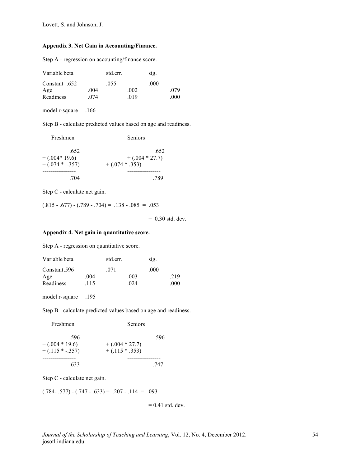#### **Appendix 3. Net Gain in Accounting/Finance.**

Step A - regression on accounting/finance score.

| Variable beta |      | std.err. |      | sig. |      |
|---------------|------|----------|------|------|------|
| .652 Constant |      | .055     |      | .000 |      |
| Age           | .004 |          | .002 |      | .079 |
| Readiness     | 074  |          | 019  |      | .000 |

model r-square .166

Step B - calculate predicted values based on age and readiness.

| Freshmen           | <b>Seniors</b>    |
|--------------------|-------------------|
| .652               | .652              |
| $+ (.004*19.6)$    | $+ (.004 * 27.7)$ |
| $+ (.074 * -.357)$ | $+ (.074 * .353)$ |
|                    |                   |
| .704               | 789               |

Step C - calculate net gain.

 $(.815 - .677) - (.789 - .704) = .138 - .085 = .053$ 

 $= 0.30$  std. dev.

#### **Appendix 4. Net gain in quantitative score.**

Step A - regression on quantitative score.

| Variable beta |      | std.err. |     | sig. |      |
|---------------|------|----------|-----|------|------|
| Constant.596  |      | 071      |     | .000 |      |
| Age           | .004 |          | 003 |      | .219 |
| Readiness     | .115 |          | 024 |      | .000 |

model r-square .195

Step B - calculate predicted values based on age and readiness.

| Freshmen           | Seniors           |      |
|--------------------|-------------------|------|
| .596               |                   | .596 |
| $+ (.004 * 19.6)$  | $+ (.004 * 27.7)$ |      |
| $+ (.115 * -.357)$ | $+ (.115 * .353)$ |      |
|                    |                   |      |
| .633               |                   | 747  |

Step C - calculate net gain.

 $(.784-.577) - (.747 - .633) = .207 - .114 = .093$ 

 $= 0.41$  std. dev.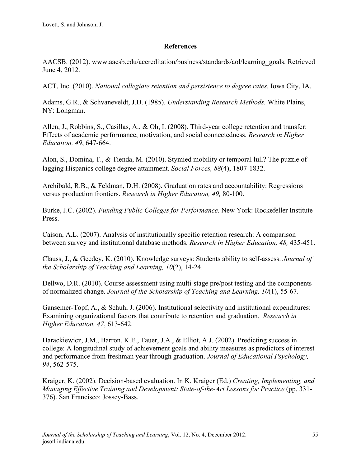### **References**

AACSB. (2012). www.aacsb.edu/accreditation/business/standards/aol/learning\_goals. Retrieved June 4, 2012.

ACT, Inc. (2010). *National collegiate retention and persistence to degree rates.* Iowa City, IA.

Adams, G.R., & Schvaneveldt, J.D. (1985). *Understanding Research Methods.* White Plains, NY: Longman.

Allen, J., Robbins, S., Casillas, A., & Oh, I. (2008). Third-year college retention and transfer: Effects of academic performance, motivation, and social connectedness. *Research in Higher Education, 49*, 647-664.

Alon, S., Domina, T., & Tienda, M. (2010). Stymied mobility or temporal lull? The puzzle of lagging Hispanics college degree attainment. *Social Forces, 88*(4), 1807-1832.

Archibald, R.B., & Feldman, D.H. (2008). Graduation rates and accountability: Regressions versus production frontiers. *Research in Higher Education, 49,* 80-100.

Burke, J.C. (2002). *Funding Public Colleges for Performance.* New York: Rockefeller Institute Press.

Caison, A.L. (2007). Analysis of institutionally specific retention research: A comparison between survey and institutional database methods. *Research in Higher Education, 48,* 435-451.

Clauss, J., & Geedey, K. (2010). Knowledge surveys: Students ability to self-assess. *Journal of the Scholarship of Teaching and Learning, 10*(2), 14-24.

Dellwo, D.R. (2010). Course assessment using multi-stage pre/post testing and the components of normalized change. *Journal of the Scholarship of Teaching and Learning, 10*(1), 55-67.

Gansemer-Topf, A., & Schuh, J. (2006). Institutional selectivity and institutional expenditures: Examining organizational factors that contribute to retention and graduation. *Research in Higher Education, 47*, 613-642.

Harackiewicz, J.M., Barron, K.E., Tauer, J.A., & Elliot, A.J. (2002). Predicting success in college: A longitudinal study of achievement goals and ability measures as predictors of interest and performance from freshman year through graduation. *Journal of Educational Psychology, 94*, 562-575.

Kraiger, K. (2002). Decision-based evaluation. In K. Kraiger (Ed.) *Creating, Implementing, and Managing Effective Training and Development: State-of-the-Art Lessons for Practice* (pp. 331-376). San Francisco: Jossey-Bass.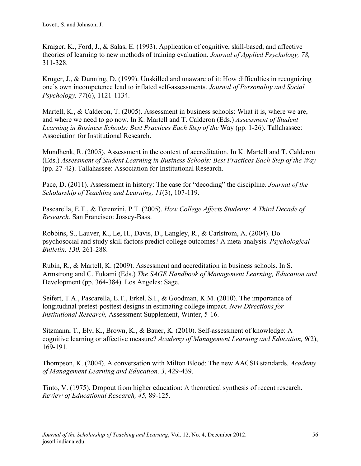Kraiger, K., Ford, J., & Salas, E. (1993). Application of cognitive, skill-based, and affective theories of learning to new methods of training evaluation. *Journal of Applied Psychology, 78,* 311-328.

Kruger, J., & Dunning, D. (1999). Unskilled and unaware of it: How difficulties in recognizing one's own incompetence lead to inflated self-assessments. *Journal of Personality and Social Psychology, 77*(6), 1121-1134.

Martell, K., & Calderon, T. (2005). Assessment in business schools: What it is, where we are, and where we need to go now. In K. Martell and T. Calderon (Eds.) *Assessment of Student Learning in Business Schools: Best Practices Each Step of the* Way (pp. 1-26). Tallahassee: Association for Institutional Research.

Mundhenk, R. (2005). Assessment in the context of accreditation. In K. Martell and T. Calderon (Eds.) *Assessment of Student Learning in Business Schools: Best Practices Each Step of the Way*  (pp. 27-42). Tallahassee: Association for Institutional Research.

Pace, D. (2011). Assessment in history: The case for "decoding" the discipline. *Journal of the Scholarship of Teaching and Learning, 11*(3), 107-119.

Pascarella, E.T., & Terenzini, P.T. (2005). *How College Affects Students: A Third Decade of Research.* San Francisco: Jossey-Bass.

Robbins, S., Lauver, K., Le, H., Davis, D., Langley, R., & Carlstrom, A. (2004). Do psychosocial and study skill factors predict college outcomes? A meta-analysis. *Psychological Bulletin, 130,* 261-288.

Rubin, R., & Martell, K. (2009). Assessment and accreditation in business schools. In S. Armstrong and C. Fukami (Eds.) *The SAGE Handbook of Management Learning, Education and*  Development (pp. 364-384). Los Angeles: Sage.

Seifert, T.A., Pascarella, E.T., Erkel, S.I., & Goodman, K.M. (2010). The importance of longitudinal pretest-posttest designs in estimating college impact. *New Directions for Institutional Research,* Assessment Supplement, Winter, 5-16.

Sitzmann, T., Ely, K., Brown, K., & Bauer, K. (2010). Self-assessment of knowledge: A cognitive learning or affective measure? *Academy of Management Learning and Education, 9*(2), 169-191.

Thompson, K. (2004). A conversation with Milton Blood: The new AACSB standards. *Academy of Management Learning and Education, 3*, 429-439.

Tinto, V. (1975). Dropout from higher education: A theoretical synthesis of recent research. *Review of Educational Research, 45,* 89-125.